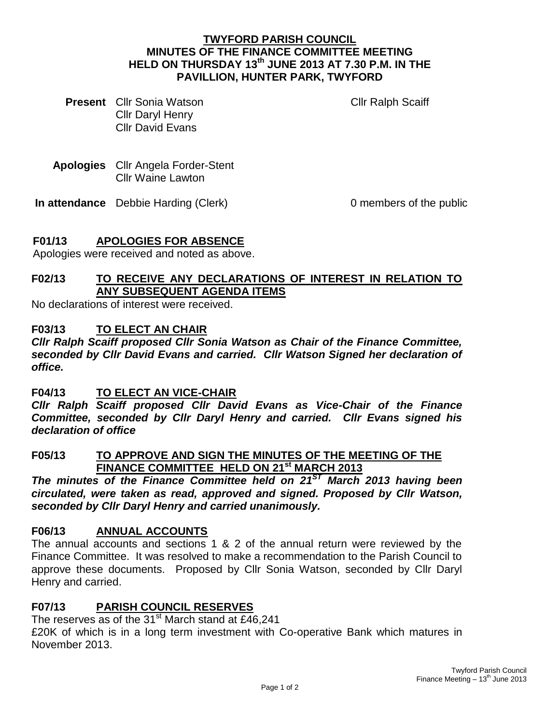#### **TWYFORD PARISH COUNCIL MINUTES OF THE FINANCE COMMITTEE MEETING HELD ON THURSDAY 13th JUNE 2013 AT 7.30 P.M. IN THE PAVILLION, HUNTER PARK, TWYFORD**

**Present** Cllr Sonia Watson Cllr Daryl Henry Cllr David Evans

Cllr Ralph Scaiff

**Apologies** Cllr Angela Forder-Stent Cllr Waine Lawton

**In attendance** Debbie Harding (Clerk) 0 members of the public

## **F01/13 APOLOGIES FOR ABSENCE**

Apologies were received and noted as above.

# **F02/13 TO RECEIVE ANY DECLARATIONS OF INTEREST IN RELATION TO ANY SUBSEQUENT AGENDA ITEMS**

No declarations of interest were received.

#### **F03/13 TO ELECT AN CHAIR**

*Cllr Ralph Scaiff proposed Cllr Sonia Watson as Chair of the Finance Committee, seconded by Cllr David Evans and carried. Cllr Watson Signed her declaration of office.*

**F04/13 TO ELECT AN VICE-CHAIR**

*Cllr Ralph Scaiff proposed Cllr David Evans as Vice-Chair of the Finance Committee, seconded by Cllr Daryl Henry and carried. Cllr Evans signed his declaration of office* 

#### **F05/13 TO APPROVE AND SIGN THE MINUTES OF THE MEETING OF THE FINANCE COMMITTEE HELD ON 21st MARCH 2013**

*The minutes of the Finance Committee held on 21ST March 2013 having been circulated, were taken as read, approved and signed. Proposed by Cllr Watson, seconded by Cllr Daryl Henry and carried unanimously.*

### **F06/13 ANNUAL ACCOUNTS**

The annual accounts and sections 1 & 2 of the annual return were reviewed by the Finance Committee. It was resolved to make a recommendation to the Parish Council to approve these documents. Proposed by Cllr Sonia Watson, seconded by Cllr Daryl Henry and carried.

### **F07/13 PARISH COUNCIL RESERVES**

The reserves as of the  $31<sup>st</sup>$  March stand at £46,241 £20K of which is in a long term investment with Co-operative Bank which matures in November 2013.